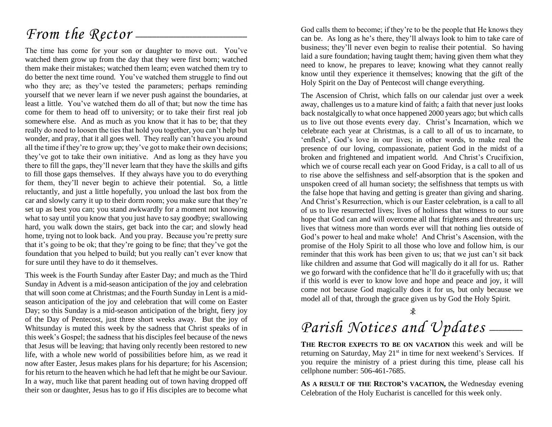# *From the Rector* --

The time has come for your son or daughter to move out. You've watched them grow up from the day that they were first born; watched them make their mistakes; watched them learn; even watched them try to do better the next time round. You've watched them struggle to find out who they are; as they've tested the parameters; perhaps reminding yourself that we never learn if we never push against the boundaries, at least a little. You've watched them do all of that; but now the time has come for them to head off to university; or to take their first real job somewhere else. And as much as you know that it has to be; that they really do need to loosen the ties that hold you together, you can't help but wonder, and pray, that it all goes well. They really can't have you around all the time if they're to grow up; they've got to make their own decisions; they've got to take their own initiative. And as long as they have you there to fill the gaps, they'll never learn that they have the skills and gifts to fill those gaps themselves. If they always have you to do everything for them, they'll never begin to achieve their potential. So, a little reluctantly, and just a little hopefully, you unload the last box from the car and slowly carry it up to their dorm room; you make sure that they're set up as best you can; you stand awkwardly for a moment not knowing what to say until you know that you just have to say goodbye; swallowing hard, you walk down the stairs, get back into the car; and slowly head home, trying not to look back. And you pray. Because you're pretty sure that it's going to be ok; that they're going to be fine; that they've got the foundation that you helped to build; but you really can't ever know that for sure until they have to do it themselves.

This week is the Fourth Sunday after Easter Day; and much as the Third Sunday in Advent is a mid-season anticipation of the joy and celebration that will soon come at Christmas; and the Fourth Sunday in Lent is a midseason anticipation of the joy and celebration that will come on Easter Day; so this Sunday is a mid-season anticipation of the bright, fiery joy of the Day of Pentecost, just three short weeks away. But the joy of Whitsunday is muted this week by the sadness that Christ speaks of in this week's Gospel; the sadness that his disciples feel because of the news that Jesus will be leaving; that having only recently been restored to new life, with a whole new world of possibilities before him, as we read it now after Easter, Jesus makes plans for his departure; for his Ascension; for his return to the heaven which he had left that he might be our Saviour. In a way, much like that parent heading out of town having dropped off their son or daughter, Jesus has to go if His disciples are to become what God calls them to become; if they're to be the people that He knows they can be. As long as he's there, they'll always look to him to take care of business; they'll never even begin to realise their potential. So having laid a sure foundation; having taught them; having given them what they need to know, he prepares to leave; knowing what they cannot really know until they experience it themselves; knowing that the gift of the Holy Spirit on the Day of Pentecost will change everything.

The Ascension of Christ, which falls on our calendar just over a week away, challenges us to a mature kind of faith; a faith that never just looks back nostalgically to what once happened 2000 years ago; but which calls us to live out those events every day. Christ's Incarnation, which we celebrate each year at Christmas, is a call to all of us to incarnate, to 'enflesh', God's love in our lives; in other words, to make real the presence of our loving, compassionate, patient God in the midst of a broken and frightened and impatient world. And Christ's Crucifixion, which we of course recall each year on Good Friday, is a call to all of us to rise above the selfishness and self-absorption that is the spoken and unspoken creed of all human society; the selfishness that tempts us with the false hope that having and getting is greater than giving and sharing. And Christ's Resurrection, which is our Easter celebration, is a call to all of us to live resurrected lives; lives of holiness that witness to our sure hope that God can and will overcome all that frightens and threatens us; lives that witness more than words ever will that nothing lies outside of God's power to heal and make whole! And Christ's Ascension, with the promise of the Holy Spirit to all those who love and follow him, is our reminder that this work has been given to us; that we just can't sit back like children and assume that God will magically do it all for us. Rather we go forward with the confidence that he'll do it gracefully with us; that if this world is ever to know love and hope and peace and joy, it will come not because God magically does it for us, but only because we model all of that, through the grace given us by God the Holy Spirit.

# Parish Notices and Updates \_\_\_\_\_

**THE RECTOR EXPECTS TO BE ON VACATION** this week and will be returning on Saturday, May 21<sup>st</sup> in time for next weekend's Services. If you require the ministry of a priest during this time, please call his cellphone number: 506-461-7685.

**AS A RESULT OF THE RECTOR'S VACATION,** the Wednesday evening Celebration of the Holy Eucharist is cancelled for this week only.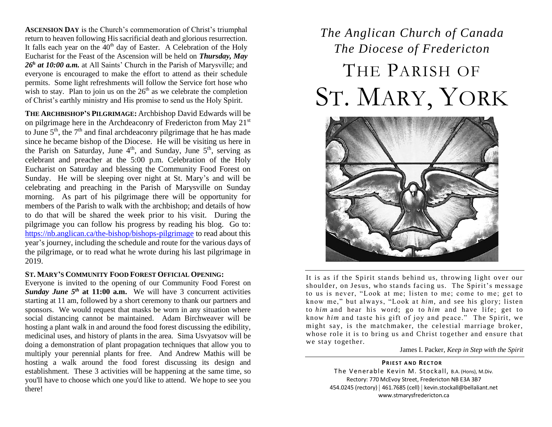**ASCENSION DAY** is the Church's commemoration of Christ's triumphal return to heaven following His sacrificial death and glorious resurrection. It falls each year on the  $40<sup>th</sup>$  day of Easter. A Celebration of the Holy Eucharist for the Feast of the Ascension will be held on *Thursday, May*  26<sup>h</sup> at 10:00 a.m. at All Saints' Church in the Parish of Marysville; and everyone is encouraged to make the effort to attend as their schedule permits. Some light refreshments will follow the Service fort hose who wish to stay. Plan to join us on the  $26<sup>th</sup>$  as we celebrate the completion of Christ's earthly ministry and His promise to send us the Holy Spirit.

**THE ARCHBISHOP'S PILGRIMAGE:** Archbishop David Edwards will be on pilgrimage here in the Archdeaconry of Fredericton from May 21<sup>st</sup> to June  $5<sup>th</sup>$ , the  $7<sup>th</sup>$  and final archdeaconry pilgrimage that he has made since he became bishop of the Diocese. He will be visiting us here in the Parish on Saturday, June  $4<sup>th</sup>$ , and Sunday, June  $5<sup>th</sup>$ , serving as celebrant and preacher at the 5:00 p.m. Celebration of the Holy Eucharist on Saturday and blessing the Community Food Forest on Sunday. He will be sleeping over night at St. Mary's and will be celebrating and preaching in the Parish of Marysville on Sunday morning. As part of his pilgrimage there will be opportunity for members of the Parish to walk with the archbishop; and details of how to do that will be shared the week prior to his visit. During the pilgrimage you can follow his progress by reading his blog. Go to: <https://nb.anglican.ca/the-bishop/bishops-pilgrimage> to read about this year's journey, including the schedule and route for the various days of the pilgrimage, or to read what he wrote during his last pilgrimage in 2019.

#### **ST. MARY'S COMMUNITY FOOD FOREST OFFICIAL OPENING:**

Everyone is invited to the opening of our Community Food Forest on Sunday June 5<sup>th</sup> at 11:00 a.m. We will have 3 concurrent activities starting at 11 am, followed by a short ceremony to thank our partners and sponsors. We would request that masks be worn in any situation where social distancing cannot be maintained. Adam Birchweaver will be hosting a plant walk in and around the food forest discussing the edibility, medicinal uses, and history of plants in the area. Sima Usvyatsov will be doing a demonstration of plant propagation techniques that allow you to multiply your perennial plants for free. And Andrew Mathis will be hosting a walk around the food forest discussing its design and establishment. These 3 activities will be happening at the same time, so you'll have to choose which one you'd like to attend. We hope to see you there!

# *The Anglican Church of Canada The Diocese of Fredericton* THE PARISH OF ST. MARY, YORK



It is as if the Spirit stands behind us, throwing light over our shoulder, on Jesus, who stands facing us. The Spirit's message to us is never, "Look at me; listen to me; come to me; get to know me," but always, "Look at *him*, and see his glory; listen to *him* and hear his word; go to *him* and have life; get to know *him* and taste his gift of joy and peace." The Spirit, we might say, is the matchmaker, the celestial marriage broker, whose role it is to bring us and Christ together and ensure that we stay together.

James I. Packer, *Keep in Step with the Spirit*

**PRIEST AND RECTOR** The Venerable Kevin M. Stockall, B.A. (Hons), M.Div. Rectory: 770 McEvoy Street, Fredericton NB E3A 3B7 454.0245 (rectory) | 461.7685 (cell) | kevin.stockall@bellaliant.net www.stmarysfredericton.ca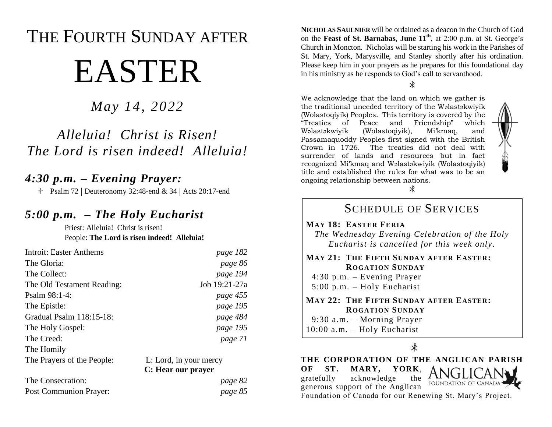# THE FOURTH SUNDAY AFTER EASTER

## *May 14, 2022*

# *Alleluia! Christ is Risen! The Lord is risen indeed! Alleluia!*

### *4:30 p.m. – Evening Prayer:*

 $\text{\textsterling}$  Psalm 72 | Deuteronomy 32:48-end & 34 | Acts 20:17-end

### *5:00 p.m. – The Holy Eucharist*

Priest: Alleluia! Christ is risen! People: **The Lord is risen indeed! Alleluia!**

| <b>Introit: Easter Anthems</b> | page 182               |
|--------------------------------|------------------------|
| The Gloria:                    | page 86                |
| The Collect:                   | page 194               |
| The Old Testament Reading:     | Job 19:21-27a          |
| Psalm 98:1-4:                  | page 455               |
| The Epistle:                   | page 195               |
| Gradual Psalm 118:15-18:       | page 484               |
| The Holy Gospel:               | page 195               |
| The Creed:                     | page 71                |
| The Homily                     |                        |
| The Prayers of the People:     | L: Lord, in your mercy |

#### **C: Hear our prayer**

| The Consecration:      | page 82 |
|------------------------|---------|
| Post Communion Prayer: | page 85 |

**NICHOLAS SAULNIER** will be ordained as a deacon in the Church of God on the **Feast of St. Barnabas, June 11th**, at 2:00 p.m. at St. George's Church in Moncton. Nicholas will be starting his work in the Parishes of St. Mary, York, Marysville, and Stanley shortly after his ordination. Please keep him in your prayers as he prepares for this foundational day in his ministry as he responds to God's call to servanthood.

¥

We acknowledge that the land on which we gather is the traditional unceded territory of the Wəlastəkwiyik (Wolastoqiyik) Peoples. This territory is covered by the "Treaties of Peace and Friendship" which Wəlastəkwiyik (Wolastoqiyik), Mi'kmaq, and Passamaquoddy Peoples first signed with the British Crown in 1726. The treaties did not deal with surrender of lands and resources but in fact recognized Mi'kmaq and Wəlastəkwiyik (Wolastoqiyik) title and established the rules for what was to be an ongoing relationship between nations.



ж

### SCHEDULE OF SERVICES **MAY 18: EASTER FERIA** *The Wednesday Evening Celebration of the Holy Eucharist is cancelled for this week only .*

#### **MAY 21: THE FIFTH SUNDAY AFTER EASTER: ROGATION SUNDAY**

 4:30 p.m. – Evening Prayer 5:00 p.m. – Holy Eucharist

#### **MAY 22: THE FIFTH SUNDAY AFTER EASTER: ROGATION SUNDAY**

9:30 a.m. – Morning Prayer

10:00 a.m. – Holy Eucharist

 $\overline{\mathbf{x}}$ 

**THE CORPORATION OF THE ANGLICAN PARISH OF ST. MARY, YORK**, gratefully acknowledge the **FOUNDATION OF CANADA** generous support of the Anglican Foundation of Canada for our Renewing St. Mary's Project.